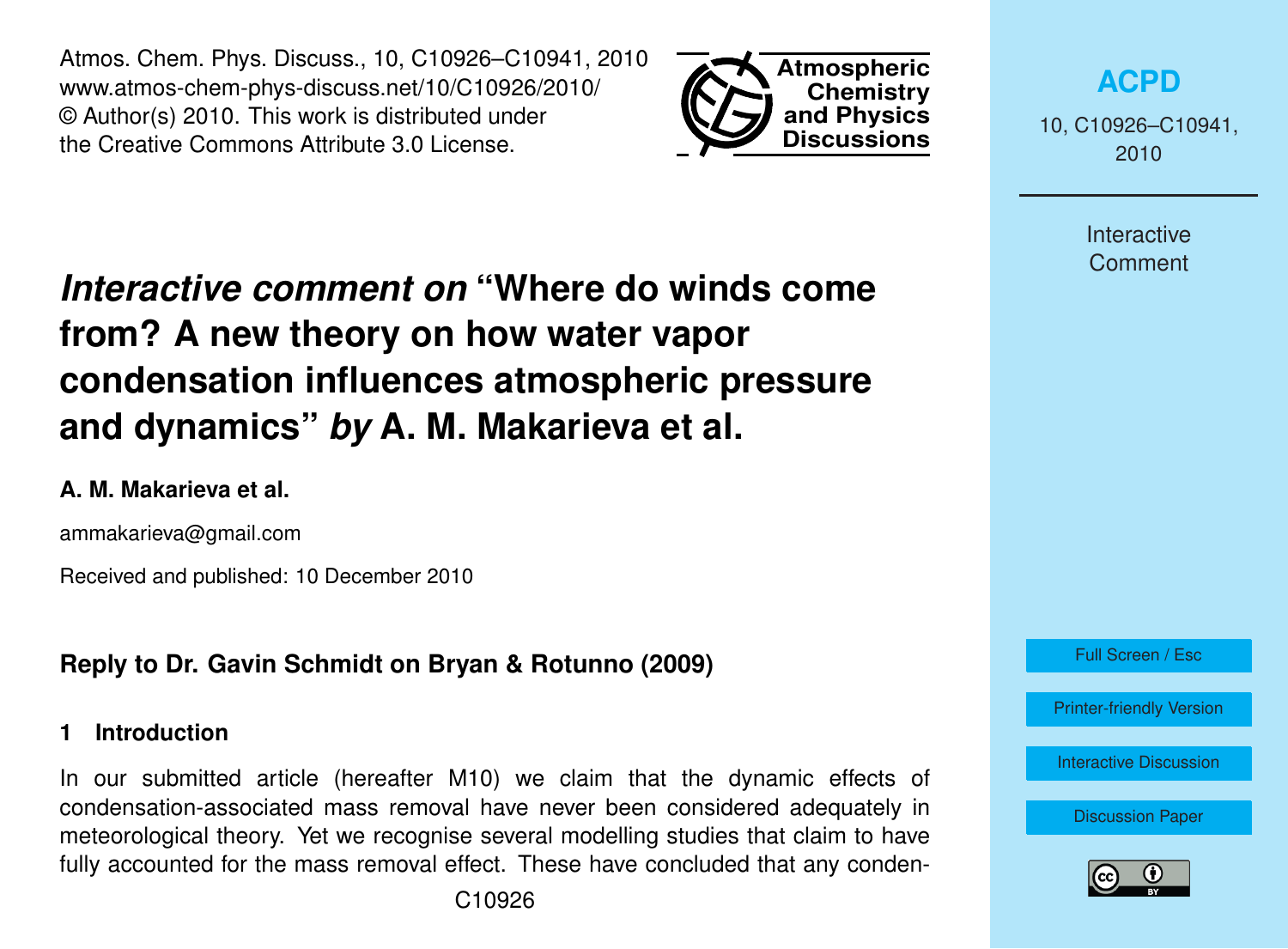Atmos. Chem. Phys. Discuss., 10, C10926–C10941, 2010 www.atmos-chem-phys-discuss.net/10/C10926/2010/ © Author(s) 2010. This work is distributed under the Creative Commons Attribute 3.0 License.



**[ACPD](http://www.atmos-chem-phys-discuss.net)**

10, C10926–C10941, 2010

> **Interactive Comment**

# *Interactive comment on* **"Where do winds come from? A new theory on how water vapor condensation influences atmospheric pressure and dynamics"** *by* **A. M. Makarieva et al.**

#### **A. M. Makarieva et al.**

ammakarieva@gmail.com

Received and published: 10 December 2010

# **Reply to Dr. Gavin Schmidt on Bryan & Rotunno (2009)**

#### **1 Introduction**

In our submitted article (hereafter M10) we claim that the dynamic effects of condensation-associated mass removal have never been considered adequately in meteorological theory. Yet we recognise several modelling studies that claim to have fully accounted for the mass removal effect. These have concluded that any conden-



[Printer-friendly Version](http://www.atmos-chem-phys-discuss.net/10/C10926/2010/acpd-10-C10926-2010-print.pdf)

[Interactive Discussion](http://www.atmos-chem-phys-discuss.net/10/24015/2010/acpd-10-24015-2010-discussion.html)

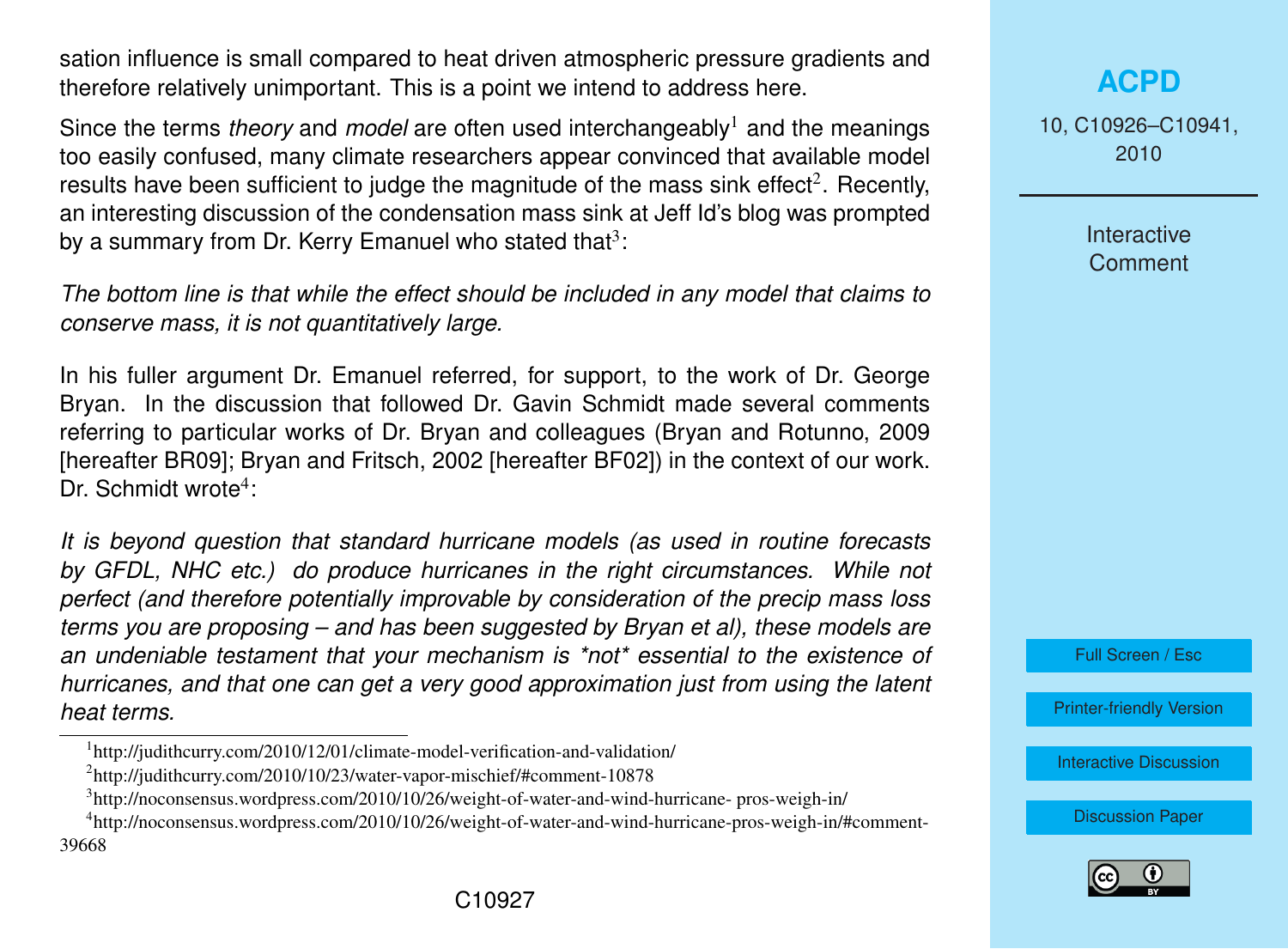sation influence is small compared to heat driven atmospheric pressure gradients and therefore relatively unimportant. This is a point we intend to address here.

Since the terms *theory* and *model* are often used interchangeably<sup>1</sup> and the meanings too easily confused, many climate researchers appear convinced that available model results have been sufficient to judge the magnitude of the mass sink effect<sup>2</sup>. Recently, an interesting discussion of the condensation mass sink at Jeff Id's blog was prompted by a summary from Dr. Kerry Emanuel who stated that<sup>3</sup>:

*The bottom line is that while the effect should be included in any model that claims to conserve mass, it is not quantitatively large.*

In his fuller argument Dr. Emanuel referred, for support, to the work of Dr. George Bryan. In the discussion that followed Dr. Gavin Schmidt made several comments referring to particular works of Dr. Bryan and colleagues (Bryan and Rotunno, 2009 [hereafter BR09]; Bryan and Fritsch, 2002 [hereafter BF02]) in the context of our work. Dr. Schmidt wrote<sup>4</sup>:

*It is beyond question that standard hurricane models (as used in routine forecasts by GFDL, NHC etc.) do produce hurricanes in the right circumstances. While not perfect (and therefore potentially improvable by consideration of the precip mass loss terms you are proposing – and has been suggested by Bryan et al), these models are an undeniable testament that your mechanism is \*not\* essential to the existence of hurricanes, and that one can get a very good approximation just from using the latent heat terms.*

# **[ACPD](http://www.atmos-chem-phys-discuss.net)**

10, C10926–C10941, 2010

> **Interactive Comment**



[Printer-friendly Version](http://www.atmos-chem-phys-discuss.net/10/C10926/2010/acpd-10-C10926-2010-print.pdf)

[Interactive Discussion](http://www.atmos-chem-phys-discuss.net/10/24015/2010/acpd-10-24015-2010-discussion.html)



<sup>&</sup>lt;sup>1</sup>http://judithcurry.com/2010/12/01/climate-model-verification-and-validation/

<sup>2</sup> http://judithcurry.com/2010/10/23/water-vapor-mischief/#comment-10878

<sup>&</sup>lt;sup>3</sup>http://noconsensus.wordpress.com/2010/10/26/weight-of-water-and-wind-hurricane- pros-weigh-in/

<sup>4</sup> http://noconsensus.wordpress.com/2010/10/26/weight-of-water-and-wind-hurricane-pros-weigh-in/#comment-39668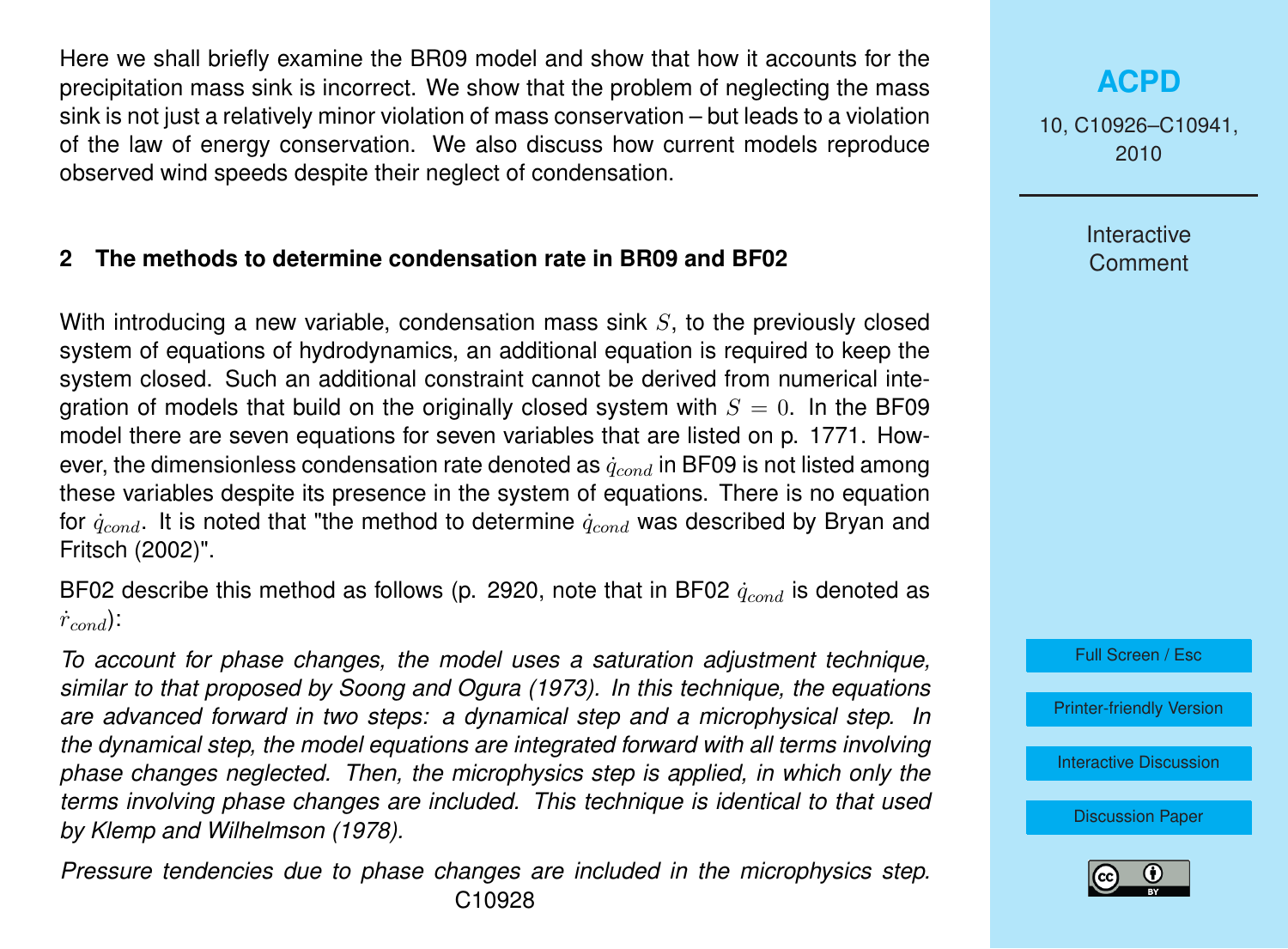Here we shall briefly examine the BR09 model and show that how it accounts for the precipitation mass sink is incorrect. We show that the problem of neglecting the mass sink is not just a relatively minor violation of mass conservation – but leads to a violation of the law of energy conservation. We also discuss how current models reproduce observed wind speeds despite their neglect of condensation.

#### **2 The methods to determine condensation rate in BR09 and BF02**

With introducing a new variable, condensation mass sink  $S$ , to the previously closed system of equations of hydrodynamics, an additional equation is required to keep the system closed. Such an additional constraint cannot be derived from numerical integration of models that build on the originally closed system with  $S = 0$ . In the BF09 model there are seven equations for seven variables that are listed on p. 1771. However, the dimensionless condensation rate denoted as  $\dot{q}_{cond}$  in BF09 is not listed among these variables despite its presence in the system of equations. There is no equation for  $\dot{q}_{cond}$ . It is noted that "the method to determine  $\dot{q}_{cond}$  was described by Bryan and Fritsch (2002)".

BF02 describe this method as follows (p. 2920, note that in BF02  $\dot{q}_{cond}$  is denoted as  $\dot{r}_{cond}$ ):

*To account for phase changes, the model uses a saturation adjustment technique, similar to that proposed by Soong and Ogura (1973). In this technique, the equations are advanced forward in two steps: a dynamical step and a microphysical step. In the dynamical step, the model equations are integrated forward with all terms involving phase changes neglected. Then, the microphysics step is applied, in which only the terms involving phase changes are included. This technique is identical to that used by Klemp and Wilhelmson (1978).*

*Pressure tendencies due to phase changes are included in the microphysics step.* C10928

# **[ACPD](http://www.atmos-chem-phys-discuss.net)**

10, C10926–C10941, 2010

> **Interactive Comment**



[Printer-friendly Version](http://www.atmos-chem-phys-discuss.net/10/C10926/2010/acpd-10-C10926-2010-print.pdf)

[Interactive Discussion](http://www.atmos-chem-phys-discuss.net/10/24015/2010/acpd-10-24015-2010-discussion.html)

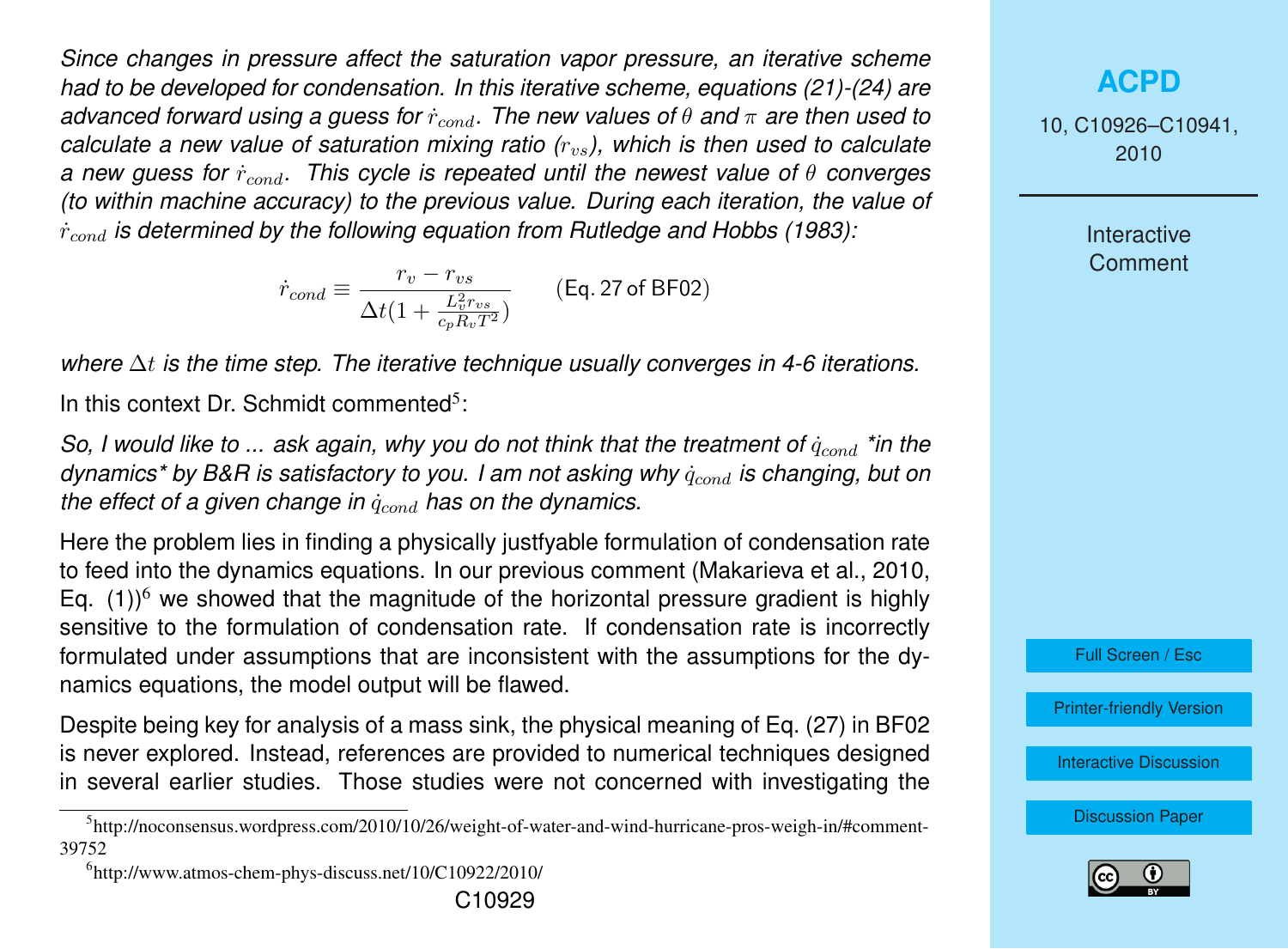*Since changes in pressure affect the saturation vapor pressure, an iterative scheme had to be developed for condensation. In this iterative scheme, equations (21)-(24) are advanced forward using a guess for* r˙cond*. The new values of* θ *and* π *are then used to calculate a new value of saturation mixing ratio (r<sub>vs</sub>), which is then used to calculate a new guess for* r˙cond*. This cycle is repeated until the newest value of* θ *converges (to within machine accuracy) to the previous value. During each iteration, the value of* r˙cond *is determined by the following equation from Rutledge and Hobbs (1983):*

$$
\dot{r}_{cond} \equiv \frac{r_v - r_{vs}}{\Delta t (1 + \frac{L_v^2 r_{vs}}{c_p R_v T^2})}
$$
 (Eq. 27 of BF02)

*where* ∆t *is the time step. The iterative technique usually converges in 4-6 iterations.* In this context Dr. Schmidt commented<sup>5</sup>:

*So, I would like to ... ask again, why you do not think that the treatment of*  $\dot{q}_{cond}$  *\*in the dynamics\* by B&R is satisfactory to you. I am not asking why*  $\dot{q}_{cond}$  *is changing, but on the effect of a given change in*  $\dot{q}_{cond}$  *has on the dynamics.* 

Here the problem lies in finding a physically justfyable formulation of condensation rate to feed into the dynamics equations. In our previous comment (Makarieva et al., 2010, Eq. (1))<sup>6</sup> we showed that the magnitude of the horizontal pressure gradient is highly sensitive to the formulation of condensation rate. If condensation rate is incorrectly formulated under assumptions that are inconsistent with the assumptions for the dynamics equations, the model output will be flawed.

Despite being key for analysis of a mass sink, the physical meaning of Eq. (27) in BF02 is never explored. Instead, references are provided to numerical techniques designed in several earlier studies. Those studies were not concerned with investigating the

6 http://www.atmos-chem-phys-discuss.net/10/C10922/2010/

# **[ACPD](http://www.atmos-chem-phys-discuss.net)**

10, C10926–C10941, 2010

> **Interactive Comment**



[Printer-friendly Version](http://www.atmos-chem-phys-discuss.net/10/C10926/2010/acpd-10-C10926-2010-print.pdf)

[Interactive Discussion](http://www.atmos-chem-phys-discuss.net/10/24015/2010/acpd-10-24015-2010-discussion.html)



<sup>5</sup> http://noconsensus.wordpress.com/2010/10/26/weight-of-water-and-wind-hurricane-pros-weigh-in/#comment-39752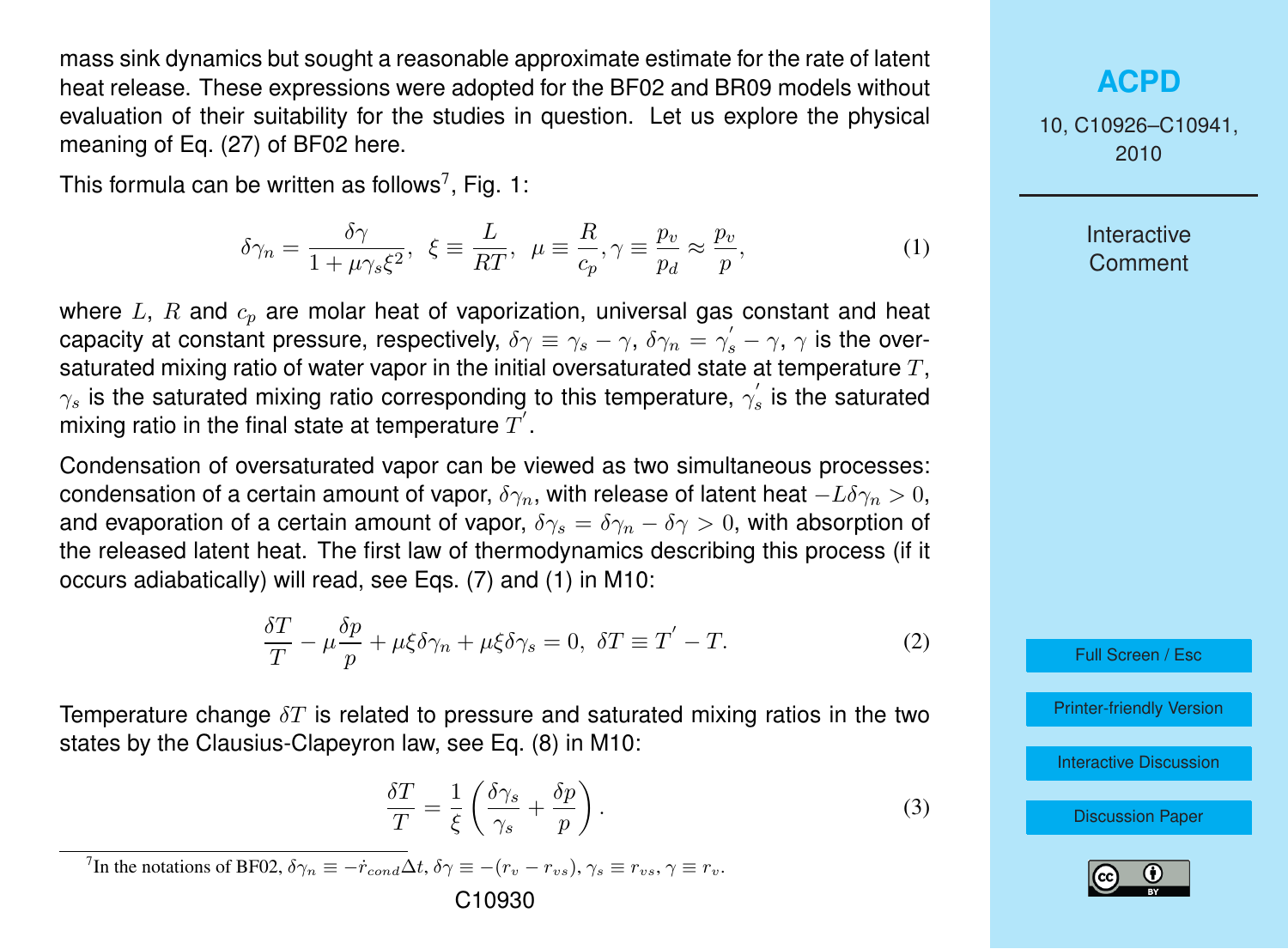<span id="page-4-0"></span>mass sink dynamics but sought a reasonable approximate estimate for the rate of latent heat release. These expressions were adopted for the BF02 and BR09 models without evaluation of their suitability for the studies in question. Let us explore the physical meaning of Eq. (27) of BF02 here.

This formula can be written as follows<sup>7</sup>, Fig. 1:

$$
\delta \gamma_n = \frac{\delta \gamma}{1 + \mu \gamma_s \xi^2}, \ \xi \equiv \frac{L}{RT}, \ \mu \equiv \frac{R}{c_p}, \gamma \equiv \frac{p_v}{p_d} \approx \frac{p_v}{p}, \tag{1}
$$

where  $L, R$  and  $c_p$  are molar heat of vaporization, universal gas constant and heat capacity at constant pressure, respectively,  $\delta\gamma\equiv\gamma_s-\gamma,~\delta\gamma_n=\gamma_s'-\gamma,~\gamma$  is the oversaturated mixing ratio of water vapor in the initial oversaturated state at temperature  $T$ ,  $\gamma_s$  is the saturated mixing ratio corresponding to this temperature,  $\gamma^{'}_{s}$  is the saturated mixing ratio in the final state at temperature  $\overline{T}^{\prime}$ .

Condensation of oversaturated vapor can be viewed as two simultaneous processes: condensation of a certain amount of vapor,  $\delta\gamma_n$ , with release of latent heat  $-L\delta\gamma_n > 0$ , and evaporation of a certain amount of vapor,  $\delta \gamma_s = \delta \gamma_n - \delta \gamma > 0$ , with absorption of the released latent heat. The first law of thermodynamics describing this process (if it occurs adiabatically) will read, see Eqs. (7) and (1) in M10:

$$
\frac{\delta T}{T} - \mu \frac{\delta p}{p} + \mu \xi \delta \gamma_n + \mu \xi \delta \gamma_s = 0, \ \delta T \equiv T' - T. \tag{2}
$$

Temperature change  $\delta T$  is related to pressure and saturated mixing ratios in the two states by the Clausius-Clapeyron law, see Eq. (8) in M10:

$$
\frac{\delta T}{T} = \frac{1}{\xi} \left( \frac{\delta \gamma_s}{\gamma_s} + \frac{\delta p}{p} \right). \tag{3}
$$

<sup>7</sup>In the notations of BF02,  $\delta \gamma_n \equiv -\dot{r}_{cond} \Delta t$ ,  $\delta \gamma \equiv -(r_v - r_{vs})$ ,  $\gamma_s \equiv r_{vs}$ ,  $\gamma \equiv r_v$ .

#### **[ACPD](http://www.atmos-chem-phys-discuss.net)**

10, C10926–C10941, 2010

> **Interactive Comment**

Full Screen / Esc

[Printer-friendly Version](http://www.atmos-chem-phys-discuss.net/10/C10926/2010/acpd-10-C10926-2010-print.pdf)

[Interactive Discussion](http://www.atmos-chem-phys-discuss.net/10/24015/2010/acpd-10-24015-2010-discussion.html)

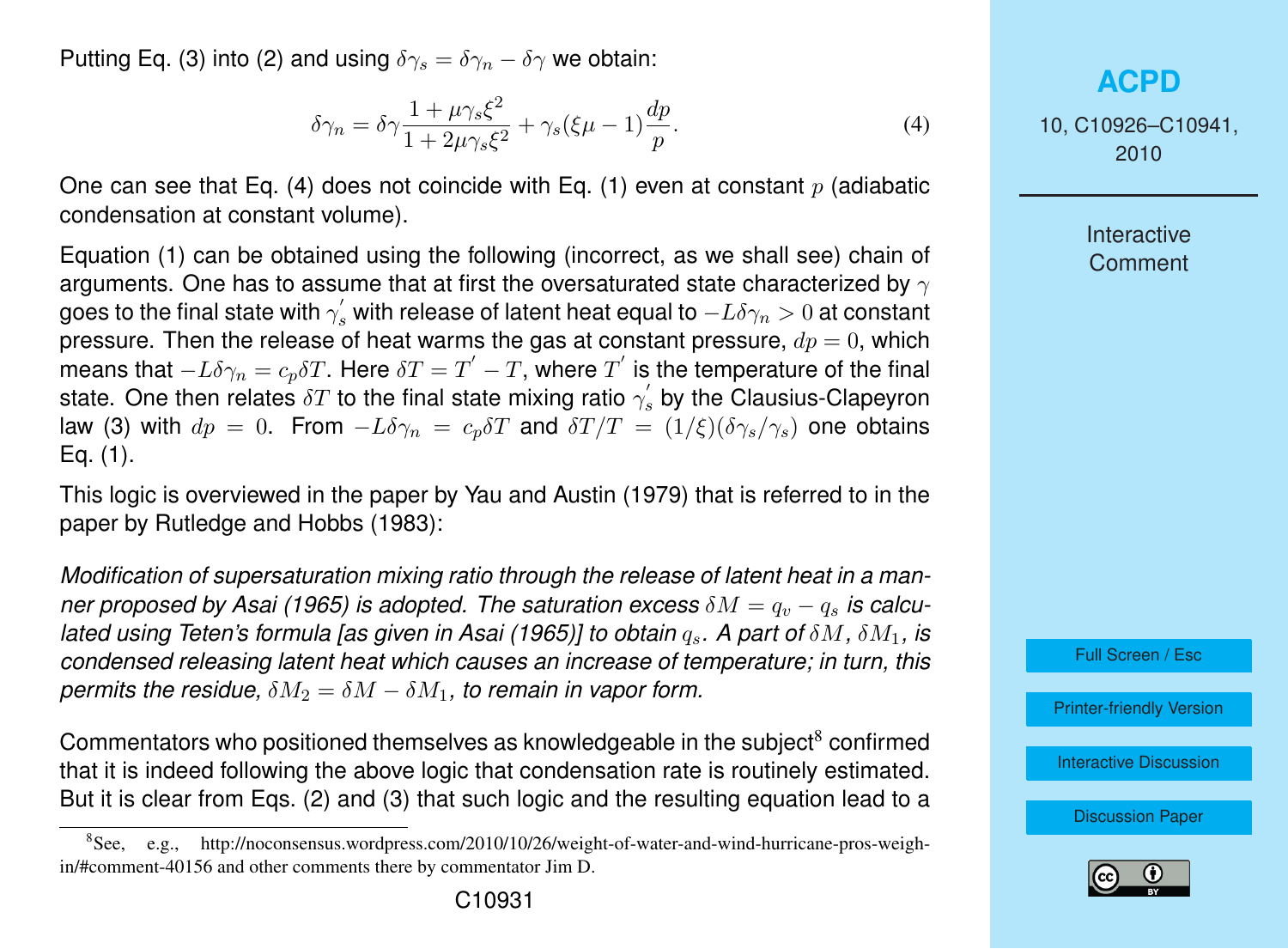Putting Eq. [\(3\)](#page-4-0) into [\(2\)](#page-4-0) and using  $\delta \gamma_s = \delta \gamma_n - \delta \gamma$  we obtain:

$$
\delta \gamma_n = \delta \gamma \frac{1 + \mu \gamma_s \xi^2}{1 + 2\mu \gamma_s \xi^2} + \gamma_s (\xi \mu - 1) \frac{dp}{p}.
$$
\n(4)

One can see that Eq. (4) does not coincide with Eq. [\(1\)](#page-4-0) even at constant  $p$  (adiabatic condensation at constant volume).

Equation [\(1\)](#page-4-0) can be obtained using the following (incorrect, as we shall see) chain of arguments. One has to assume that at first the oversaturated state characterized by  $\gamma$ goes to the final state with  $\gamma_s^{'}$  with release of latent heat equal to  $-L\delta \gamma_n > 0$  at constant pressure. Then the release of heat warms the gas at constant pressure,  $dp = 0$ , which means that  $-L\delta\gamma_n=c_p\delta T.$  Here  $\delta T=T^{'}-T,$  where  $T^{'}$  is the temperature of the final state. One then relates  $\delta T$  to the final state mixing ratio  $\gamma^{'}_{s}$  by the Clausius-Clapeyron law [\(3\)](#page-4-0) with  $dp = 0$ . From  $-L\delta\gamma_n = c_n\delta T$  and  $\delta T/T = (1/\xi)(\delta\gamma_s/\gamma_s)$  one obtains Eq. [\(1\)](#page-4-0).

This logic is overviewed in the paper by Yau and Austin (1979) that is referred to in the paper by Rutledge and Hobbs (1983):

*Modification of supersaturation mixing ratio through the release of latent heat in a manner proposed by Asai (1965) is adopted. The saturation excess*  $\delta M = q_v - q_s$  *is calculated using Teten's formula [as given in Asai (1965)] to obtain*  $q_s$ *. A part of δM, δM<sub>1</sub>, is condensed releasing latent heat which causes an increase of temperature; in turn, this permits the residue,*  $\delta M_2 = \delta M - \delta M_1$ , to remain in vapor form.

Commentators who positioned themselves as knowledgeable in the subject<sup>8</sup> confirmed that it is indeed following the above logic that condensation rate is routinely estimated. But it is clear from Eqs. [\(2\)](#page-4-0) and [\(3\)](#page-4-0) that such logic and the resulting equation lead to a

### **[ACPD](http://www.atmos-chem-phys-discuss.net)**

10, C10926–C10941, 2010

> **Interactive Comment**



[Printer-friendly Version](http://www.atmos-chem-phys-discuss.net/10/C10926/2010/acpd-10-C10926-2010-print.pdf)

[Interactive Discussion](http://www.atmos-chem-phys-discuss.net/10/24015/2010/acpd-10-24015-2010-discussion.html)



 $8$ See, e.g., http://noconsensus.wordpress.com/2010/10/26/weight-of-water-and-wind-hurricane-pros-weighin/#comment-40156 and other comments there by commentator Jim D.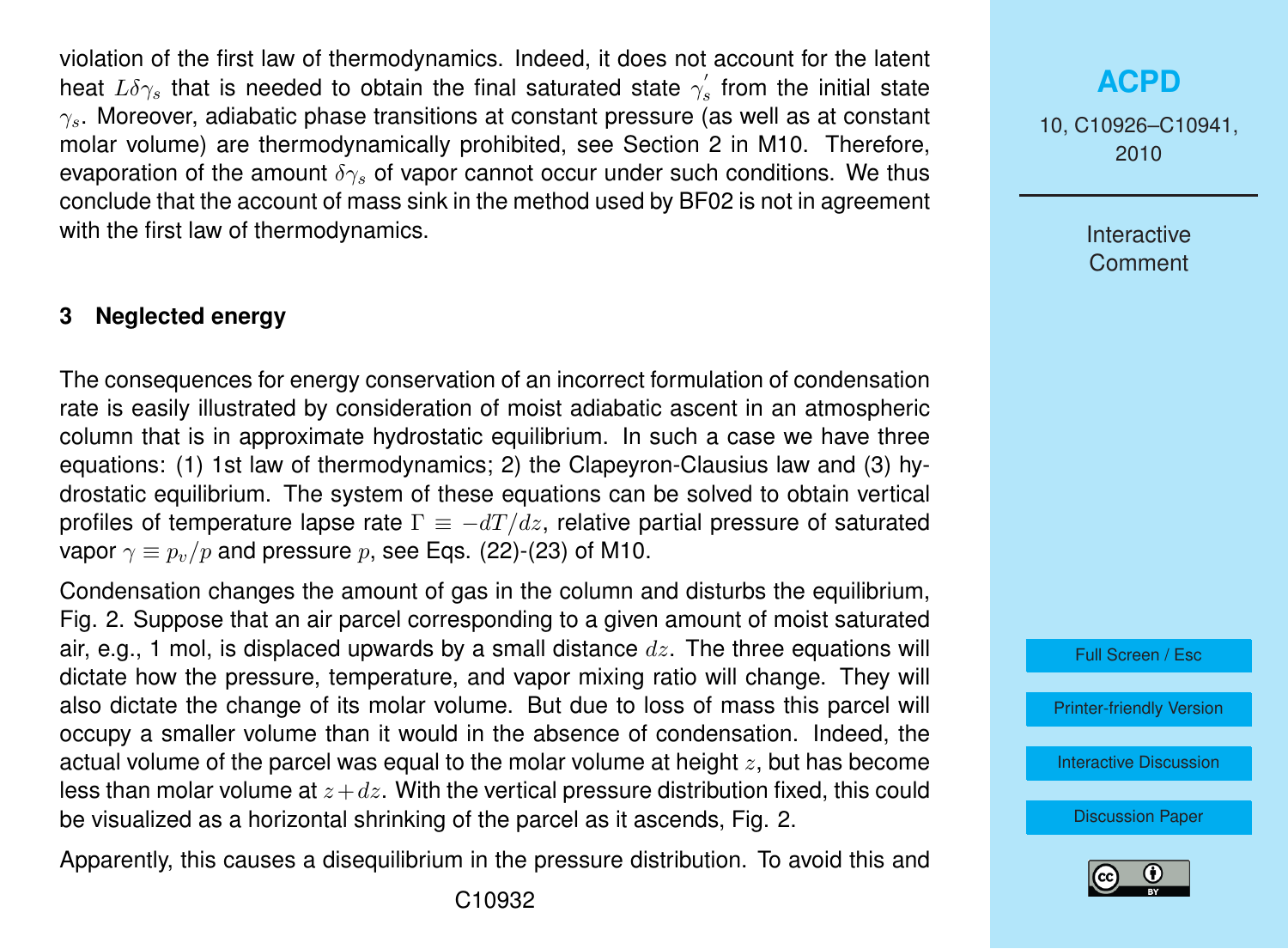violation of the first law of thermodynamics. Indeed, it does not account for the latent heat  $L\delta\gamma_s$  that is needed to obtain the final saturated state  $\gamma^{'}_s$  from the initial state  $\gamma_s$ . Moreover, adiabatic phase transitions at constant pressure (as well as at constant molar volume) are thermodynamically prohibited, see Section 2 in M10. Therefore, evaporation of the amount  $\delta \gamma_s$  of vapor cannot occur under such conditions. We thus conclude that the account of mass sink in the method used by BF02 is not in agreement with the first law of thermodynamics.

#### **3 Neglected energy**

The consequences for energy conservation of an incorrect formulation of condensation rate is easily illustrated by consideration of moist adiabatic ascent in an atmospheric column that is in approximate hydrostatic equilibrium. In such a case we have three equations: (1) 1st law of thermodynamics; 2) the Clapeyron-Clausius law and (3) hydrostatic equilibrium. The system of these equations can be solved to obtain vertical profiles of temperature lapse rate  $\Gamma \equiv -dT/dz$ , relative partial pressure of saturated vapor  $\gamma \equiv p_v/p$  and pressure p, see Eqs. (22)-(23) of M10.

Condensation changes the amount of gas in the column and disturbs the equilibrium, Fig. 2. Suppose that an air parcel corresponding to a given amount of moist saturated air, e.g., 1 mol, is displaced upwards by a small distance  $dz$ . The three equations will dictate how the pressure, temperature, and vapor mixing ratio will change. They will also dictate the change of its molar volume. But due to loss of mass this parcel will occupy a smaller volume than it would in the absence of condensation. Indeed, the actual volume of the parcel was equal to the molar volume at height  $z$ , but has become less than molar volume at  $z+dz$ . With the vertical pressure distribution fixed, this could be visualized as a horizontal shrinking of the parcel as it ascends, Fig. 2.

Apparently, this causes a disequilibrium in the pressure distribution. To avoid this and

# **[ACPD](http://www.atmos-chem-phys-discuss.net)**

10, C10926–C10941, 2010

> Interactive **Comment**



[Printer-friendly Version](http://www.atmos-chem-phys-discuss.net/10/C10926/2010/acpd-10-C10926-2010-print.pdf)

[Interactive Discussion](http://www.atmos-chem-phys-discuss.net/10/24015/2010/acpd-10-24015-2010-discussion.html)

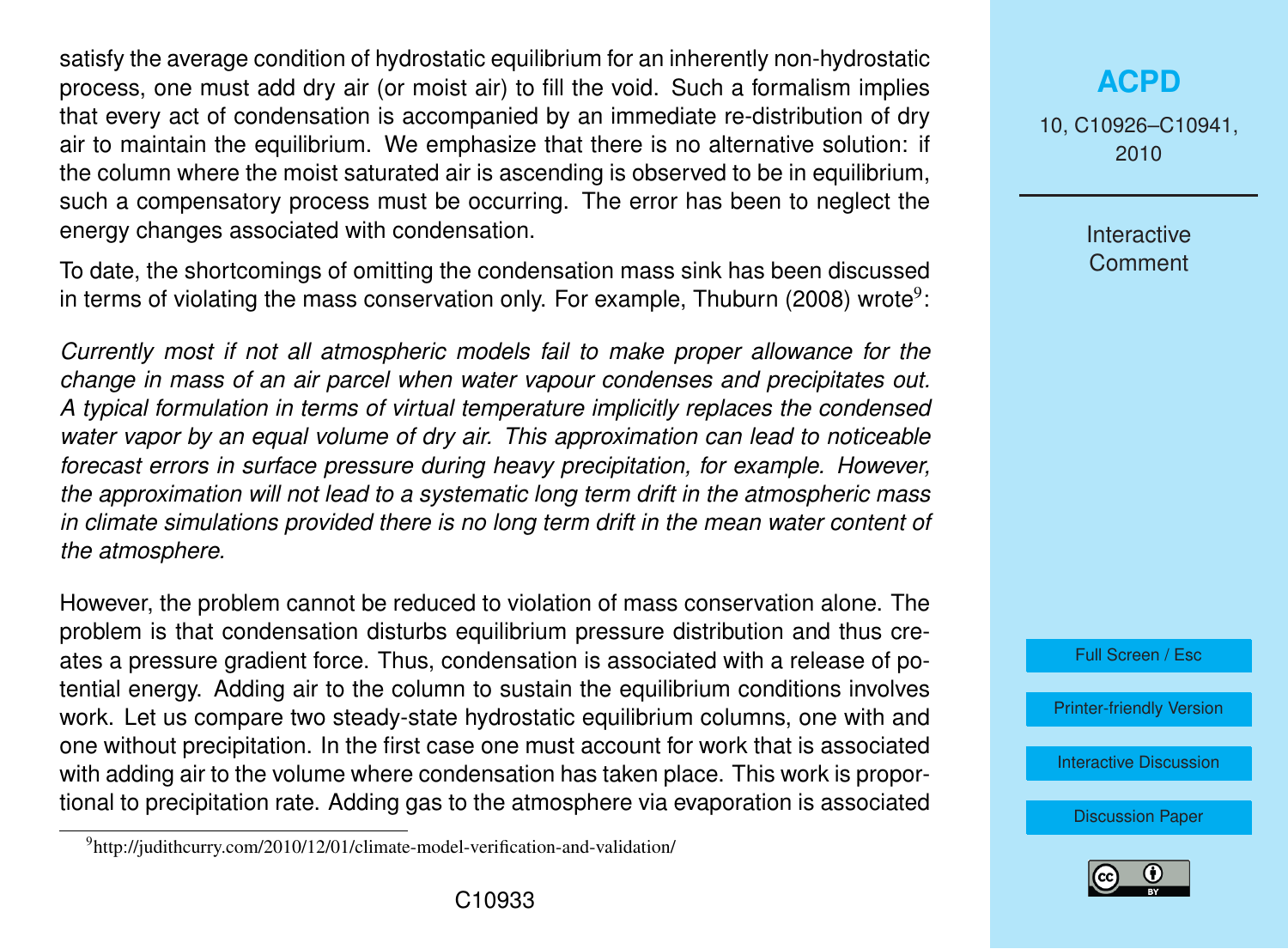satisfy the average condition of hydrostatic equilibrium for an inherently non-hydrostatic process, one must add dry air (or moist air) to fill the void. Such a formalism implies that every act of condensation is accompanied by an immediate re-distribution of dry air to maintain the equilibrium. We emphasize that there is no alternative solution: if the column where the moist saturated air is ascending is observed to be in equilibrium, such a compensatory process must be occurring. The error has been to neglect the energy changes associated with condensation.

To date, the shortcomings of omitting the condensation mass sink has been discussed in terms of violating the mass conservation only. For example, Thuburn (2008) wrote $^9$ :

*Currently most if not all atmospheric models fail to make proper allowance for the change in mass of an air parcel when water vapour condenses and precipitates out. A typical formulation in terms of virtual temperature implicitly replaces the condensed water vapor by an equal volume of dry air. This approximation can lead to noticeable forecast errors in surface pressure during heavy precipitation, for example. However, the approximation will not lead to a systematic long term drift in the atmospheric mass in climate simulations provided there is no long term drift in the mean water content of the atmosphere.*

However, the problem cannot be reduced to violation of mass conservation alone. The problem is that condensation disturbs equilibrium pressure distribution and thus creates a pressure gradient force. Thus, condensation is associated with a release of potential energy. Adding air to the column to sustain the equilibrium conditions involves work. Let us compare two steady-state hydrostatic equilibrium columns, one with and one without precipitation. In the first case one must account for work that is associated with adding air to the volume where condensation has taken place. This work is proportional to precipitation rate. Adding gas to the atmosphere via evaporation is associated 10, C10926–C10941, 2010

> Interactive **Comment**



[Printer-friendly Version](http://www.atmos-chem-phys-discuss.net/10/C10926/2010/acpd-10-C10926-2010-print.pdf)

[Interactive Discussion](http://www.atmos-chem-phys-discuss.net/10/24015/2010/acpd-10-24015-2010-discussion.html)



<sup>&</sup>lt;sup>9</sup>http://judithcurry.com/2010/12/01/climate-model-verification-and-validation/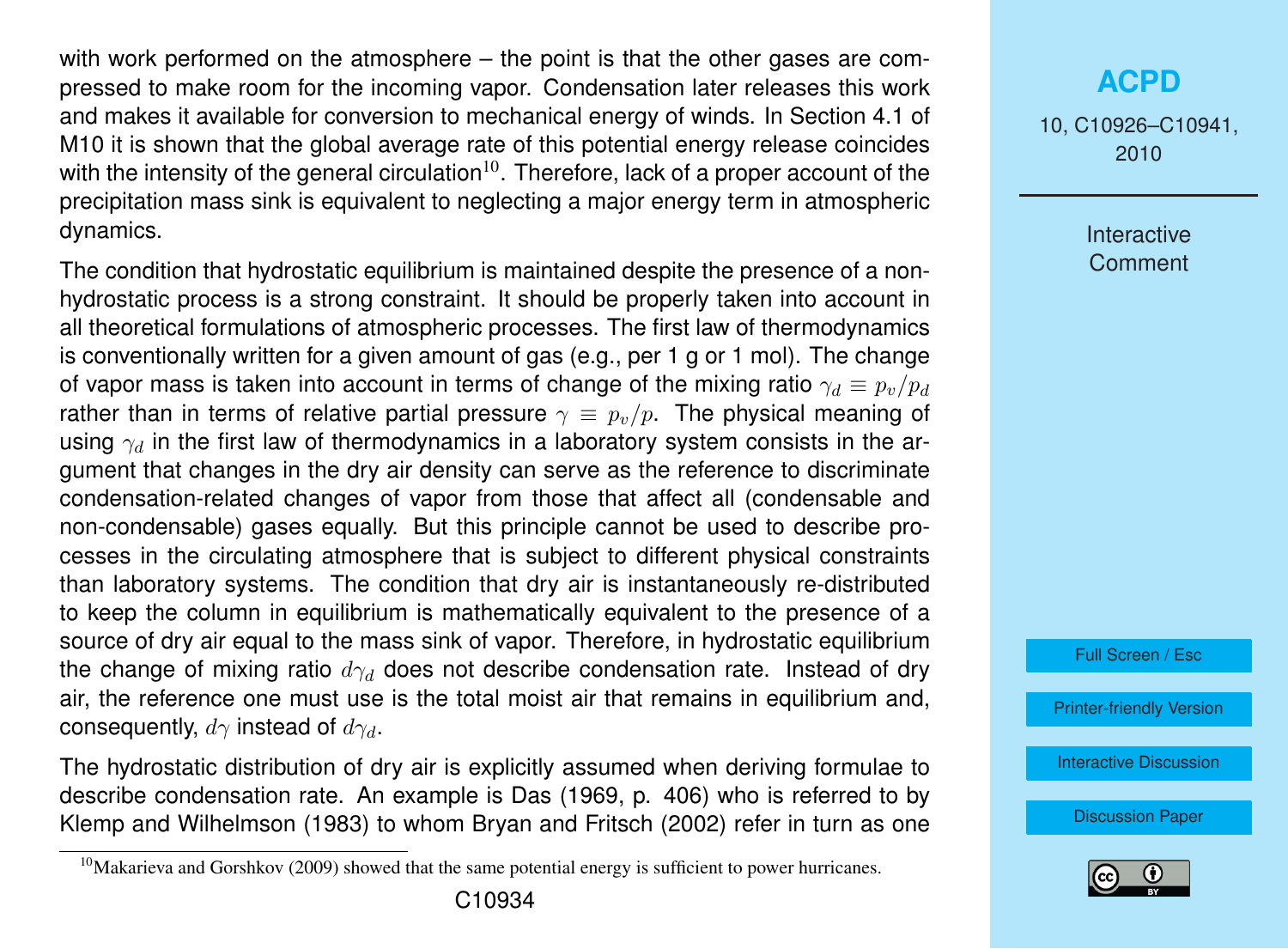with work performed on the atmosphere – the point is that the other gases are compressed to make room for the incoming vapor. Condensation later releases this work and makes it available for conversion to mechanical energy of winds. In Section 4.1 of M10 it is shown that the global average rate of this potential energy release coincides with the intensity of the general circulation $10<sup>0</sup>$ . Therefore, lack of a proper account of the precipitation mass sink is equivalent to neglecting a major energy term in atmospheric dynamics.

The condition that hydrostatic equilibrium is maintained despite the presence of a nonhydrostatic process is a strong constraint. It should be properly taken into account in all theoretical formulations of atmospheric processes. The first law of thermodynamics is conventionally written for a given amount of gas (e.g., per 1 g or 1 mol). The change of vapor mass is taken into account in terms of change of the mixing ratio  $\gamma_d \equiv p_v/p_d$ rather than in terms of relative partial pressure  $\gamma \equiv p_{\nu}/p$ . The physical meaning of using  $\gamma_d$  in the first law of thermodynamics in a laboratory system consists in the argument that changes in the dry air density can serve as the reference to discriminate condensation-related changes of vapor from those that affect all (condensable and non-condensable) gases equally. But this principle cannot be used to describe processes in the circulating atmosphere that is subject to different physical constraints than laboratory systems. The condition that dry air is instantaneously re-distributed to keep the column in equilibrium is mathematically equivalent to the presence of a source of dry air equal to the mass sink of vapor. Therefore, in hydrostatic equilibrium the change of mixing ratio  $d\gamma_d$  does not describe condensation rate. Instead of dry air, the reference one must use is the total moist air that remains in equilibrium and, consequently,  $d\gamma$  instead of  $d\gamma_d$ .

The hydrostatic distribution of dry air is explicitly assumed when deriving formulae to describe condensation rate. An example is Das (1969, p. 406) who is referred to by Klemp and Wilhelmson (1983) to whom Bryan and Fritsch (2002) refer in turn as one

## **[ACPD](http://www.atmos-chem-phys-discuss.net)**

10, C10926–C10941, 2010

> Interactive **Comment**



[Printer-friendly Version](http://www.atmos-chem-phys-discuss.net/10/C10926/2010/acpd-10-C10926-2010-print.pdf)

[Interactive Discussion](http://www.atmos-chem-phys-discuss.net/10/24015/2010/acpd-10-24015-2010-discussion.html)



 $10$ Makarieva and Gorshkov (2009) showed that the same potential energy is sufficient to power hurricanes.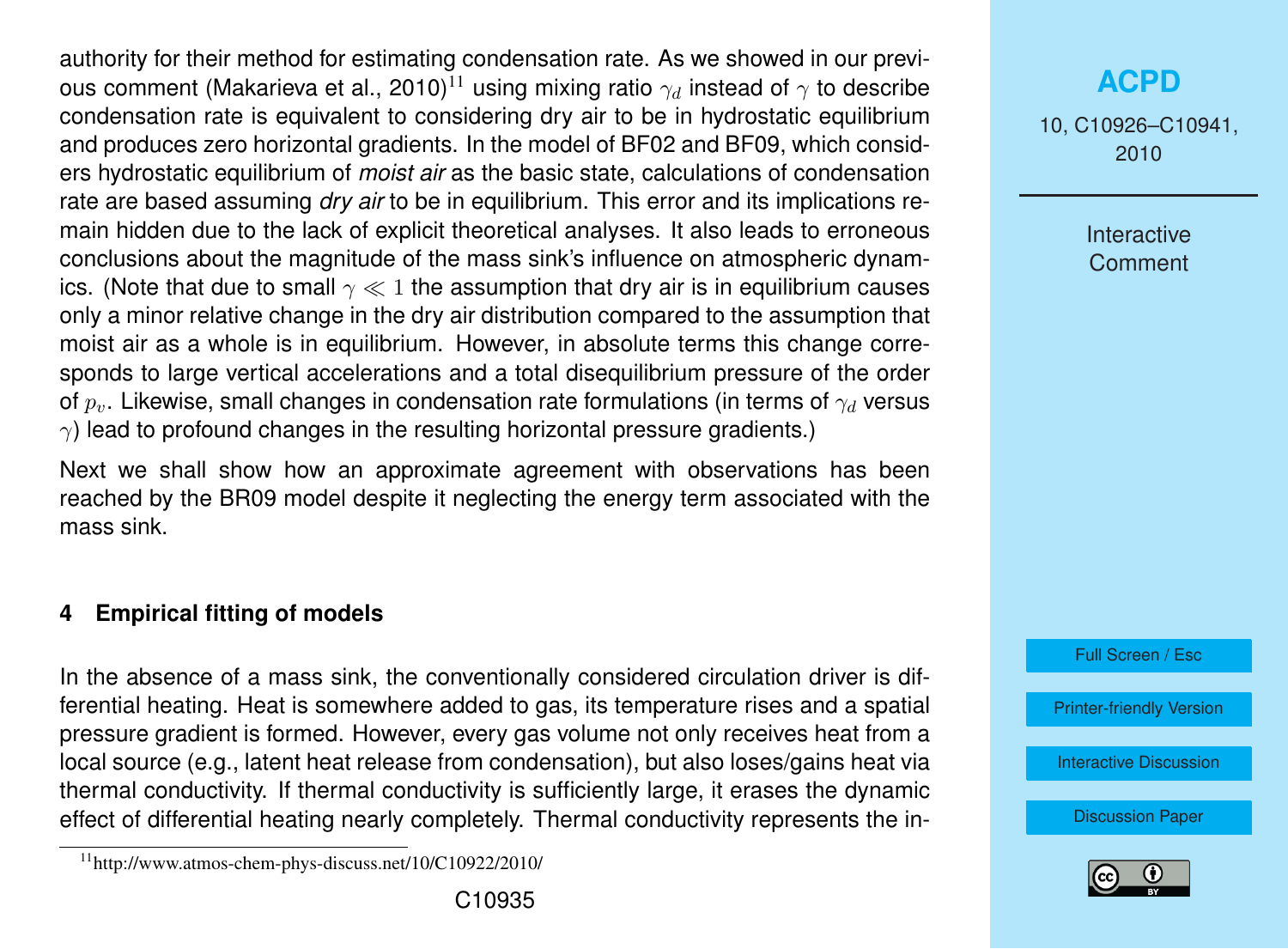authority for their method for estimating condensation rate. As we showed in our previous comment (Makarieva et al., 2010)<sup>11</sup> using mixing ratio  $\gamma_d$  instead of  $\gamma$  to describe condensation rate is equivalent to considering dry air to be in hydrostatic equilibrium and produces zero horizontal gradients. In the model of BF02 and BF09, which considers hydrostatic equilibrium of *moist air* as the basic state, calculations of condensation rate are based assuming *dry air* to be in equilibrium. This error and its implications remain hidden due to the lack of explicit theoretical analyses. It also leads to erroneous conclusions about the magnitude of the mass sink's influence on atmospheric dynamics. (Note that due to small  $\gamma \ll 1$  the assumption that dry air is in equilibrium causes only a minor relative change in the dry air distribution compared to the assumption that moist air as a whole is in equilibrium. However, in absolute terms this change corresponds to large vertical accelerations and a total disequilibrium pressure of the order of  $p<sub>v</sub>$ . Likewise, small changes in condensation rate formulations (in terms of  $\gamma<sub>d</sub>$  versus  $\gamma$ ) lead to profound changes in the resulting horizontal pressure gradients.)

Next we shall show how an approximate agreement with observations has been reached by the BR09 model despite it neglecting the energy term associated with the mass sink.

#### **4 Empirical fitting of models**

In the absence of a mass sink, the conventionally considered circulation driver is differential heating. Heat is somewhere added to gas, its temperature rises and a spatial pressure gradient is formed. However, every gas volume not only receives heat from a local source (e.g., latent heat release from condensation), but also loses/gains heat via thermal conductivity. If thermal conductivity is sufficiently large, it erases the dynamic effect of differential heating nearly completely. Thermal conductivity represents the in10, C10926–C10941, 2010

> Interactive **Comment**

Full Screen / Esc

[Printer-friendly Version](http://www.atmos-chem-phys-discuss.net/10/C10926/2010/acpd-10-C10926-2010-print.pdf)

[Interactive Discussion](http://www.atmos-chem-phys-discuss.net/10/24015/2010/acpd-10-24015-2010-discussion.html)



 $11$ http://www.atmos-chem-phys-discuss.net/10/C10922/2010/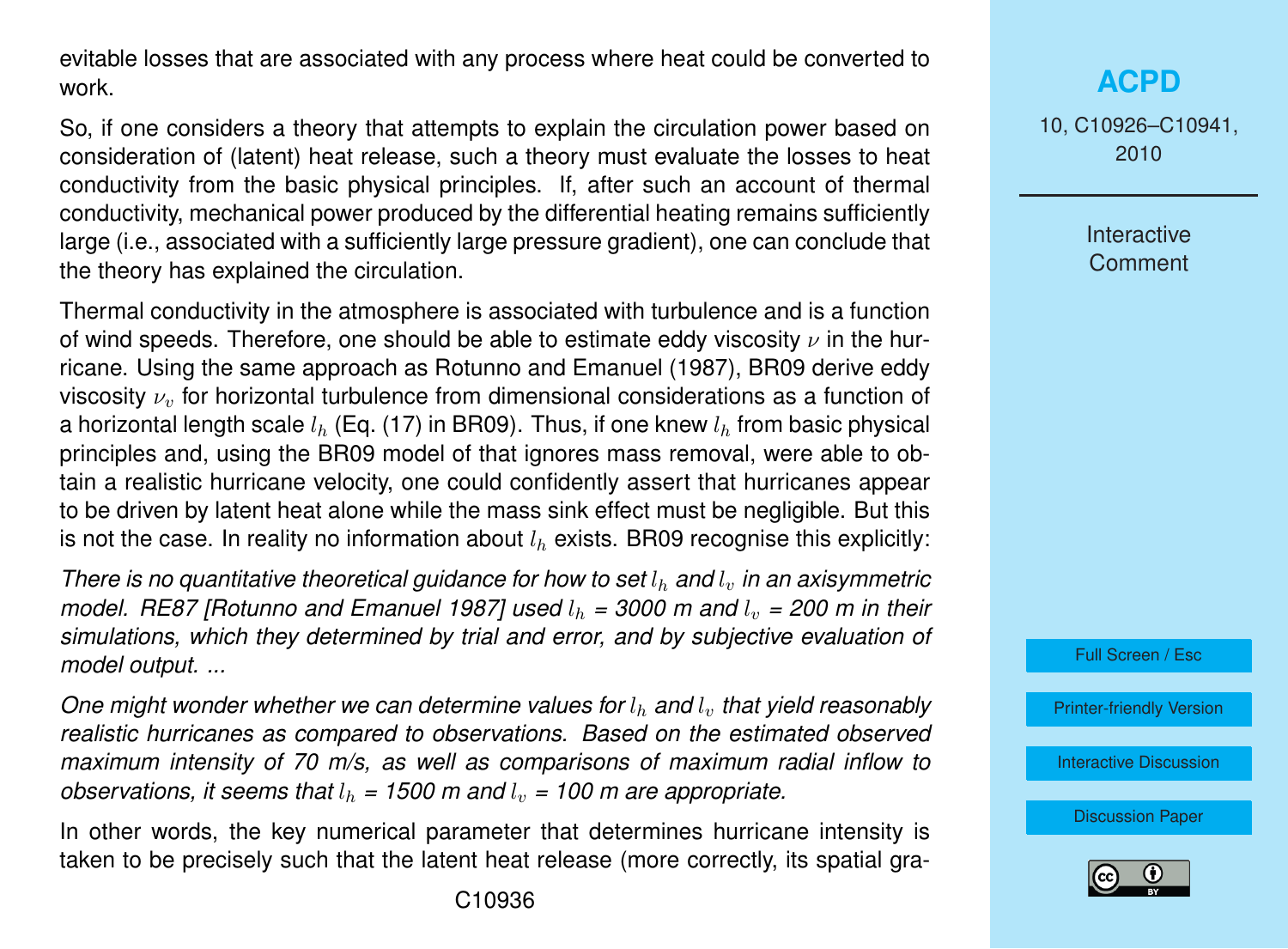evitable losses that are associated with any process where heat could be converted to work.

So, if one considers a theory that attempts to explain the circulation power based on consideration of (latent) heat release, such a theory must evaluate the losses to heat conductivity from the basic physical principles. If, after such an account of thermal conductivity, mechanical power produced by the differential heating remains sufficiently large (i.e., associated with a sufficiently large pressure gradient), one can conclude that the theory has explained the circulation.

Thermal conductivity in the atmosphere is associated with turbulence and is a function of wind speeds. Therefore, one should be able to estimate eddy viscosity  $\nu$  in the hurricane. Using the same approach as Rotunno and Emanuel (1987), BR09 derive eddy viscosity  $\nu_n$  for horizontal turbulence from dimensional considerations as a function of a horizontal length scale  $l<sub>b</sub>$  (Eq. (17) in BR09). Thus, if one knew  $l<sub>b</sub>$  from basic physical principles and, using the BR09 model of that ignores mass removal, were able to obtain a realistic hurricane velocity, one could confidently assert that hurricanes appear to be driven by latent heat alone while the mass sink effect must be negligible. But this is not the case. In reality no information about  $l<sub>b</sub>$  exists. BR09 recognise this explicitly:

*There is no quantitative theoretical guidance for how to set*  $l<sub>h</sub>$  *and*  $l<sub>v</sub>$  *in an axisymmetric model. RE87 [Rotunno and Emanuel 1987] used*  $l<sub>b</sub> = 3000$  *m and*  $l<sub>v</sub> = 200$  *m in their simulations, which they determined by trial and error, and by subjective evaluation of model output. ...*

*One might wonder whether we can determine values for*  $l_h$  *and*  $l_v$  *that yield reasonably realistic hurricanes as compared to observations. Based on the estimated observed maximum intensity of 70 m/s, as well as comparisons of maximum radial inflow to observations, it seems that*  $l_h$  = 1500 m and  $l_v$  = 100 m are appropriate.

In other words, the key numerical parameter that determines hurricane intensity is taken to be precisely such that the latent heat release (more correctly, its spatial gra-

### **[ACPD](http://www.atmos-chem-phys-discuss.net)**

10, C10926–C10941, 2010

> **Interactive Comment**



[Printer-friendly Version](http://www.atmos-chem-phys-discuss.net/10/C10926/2010/acpd-10-C10926-2010-print.pdf)

[Interactive Discussion](http://www.atmos-chem-phys-discuss.net/10/24015/2010/acpd-10-24015-2010-discussion.html)

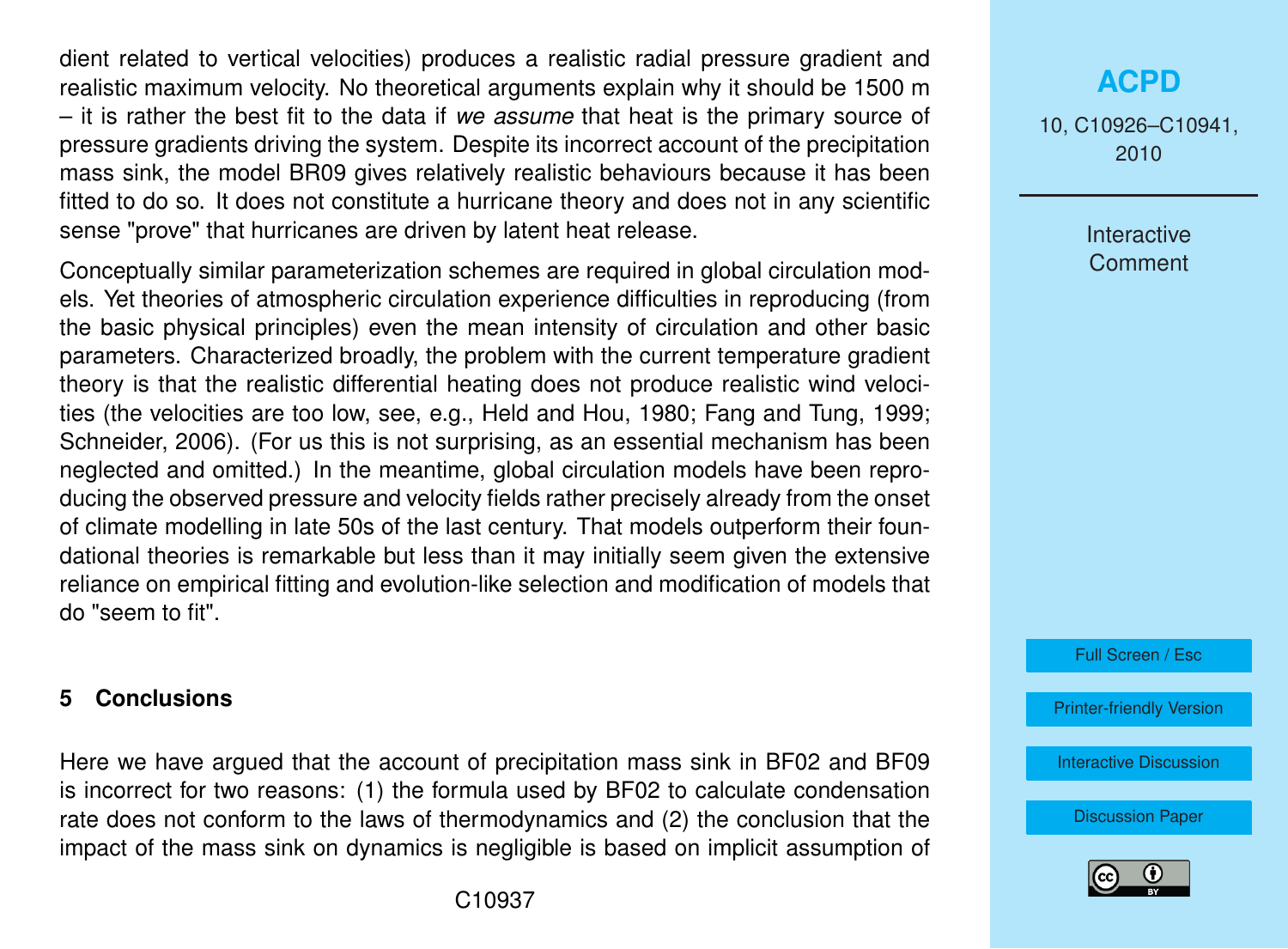dient related to vertical velocities) produces a realistic radial pressure gradient and realistic maximum velocity. No theoretical arguments explain why it should be 1500 m – it is rather the best fit to the data if *we assume* that heat is the primary source of pressure gradients driving the system. Despite its incorrect account of the precipitation mass sink, the model BR09 gives relatively realistic behaviours because it has been fitted to do so. It does not constitute a hurricane theory and does not in any scientific sense "prove" that hurricanes are driven by latent heat release.

Conceptually similar parameterization schemes are required in global circulation models. Yet theories of atmospheric circulation experience difficulties in reproducing (from the basic physical principles) even the mean intensity of circulation and other basic parameters. Characterized broadly, the problem with the current temperature gradient theory is that the realistic differential heating does not produce realistic wind velocities (the velocities are too low, see, e.g., Held and Hou, 1980; Fang and Tung, 1999; Schneider, 2006). (For us this is not surprising, as an essential mechanism has been neglected and omitted.) In the meantime, global circulation models have been reproducing the observed pressure and velocity fields rather precisely already from the onset of climate modelling in late 50s of the last century. That models outperform their foundational theories is remarkable but less than it may initially seem given the extensive reliance on empirical fitting and evolution-like selection and modification of models that do "seem to fit".

#### **5 Conclusions**

Here we have argued that the account of precipitation mass sink in BF02 and BF09 is incorrect for two reasons: (1) the formula used by BF02 to calculate condensation rate does not conform to the laws of thermodynamics and (2) the conclusion that the impact of the mass sink on dynamics is negligible is based on implicit assumption of

C10937

#### **[ACPD](http://www.atmos-chem-phys-discuss.net)**

10, C10926–C10941, 2010

> Interactive **Comment**

Full Screen / Esc

[Printer-friendly Version](http://www.atmos-chem-phys-discuss.net/10/C10926/2010/acpd-10-C10926-2010-print.pdf)

[Interactive Discussion](http://www.atmos-chem-phys-discuss.net/10/24015/2010/acpd-10-24015-2010-discussion.html)

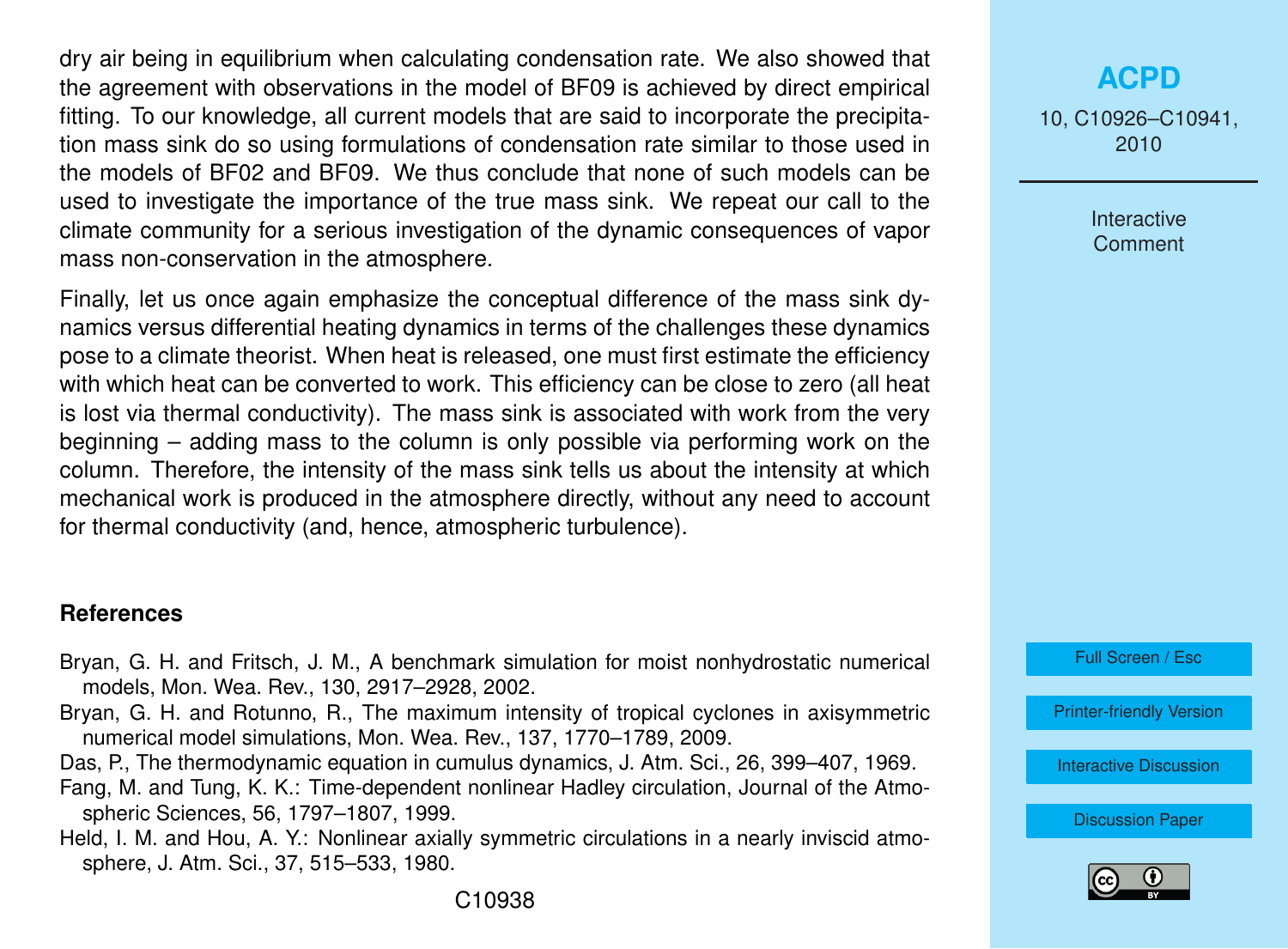dry air being in equilibrium when calculating condensation rate. We also showed that the agreement with observations in the model of BF09 is achieved by direct empirical fitting. To our knowledge, all current models that are said to incorporate the precipitation mass sink do so using formulations of condensation rate similar to those used in the models of BF02 and BF09. We thus conclude that none of such models can be used to investigate the importance of the true mass sink. We repeat our call to the climate community for a serious investigation of the dynamic consequences of vapor mass non-conservation in the atmosphere.

Finally, let us once again emphasize the conceptual difference of the mass sink dynamics versus differential heating dynamics in terms of the challenges these dynamics pose to a climate theorist. When heat is released, one must first estimate the efficiency with which heat can be converted to work. This efficiency can be close to zero (all heat is lost via thermal conductivity). The mass sink is associated with work from the very beginning – adding mass to the column is only possible via performing work on the column. Therefore, the intensity of the mass sink tells us about the intensity at which mechanical work is produced in the atmosphere directly, without any need to account for thermal conductivity (and, hence, atmospheric turbulence).

#### **References**

- Bryan, G. H. and Fritsch, J. M., A benchmark simulation for moist nonhydrostatic numerical models, Mon. Wea. Rev., 130, 2917–2928, 2002.
- Bryan, G. H. and Rotunno, R., The maximum intensity of tropical cyclones in axisymmetric numerical model simulations, Mon. Wea. Rev., 137, 1770–1789, 2009.
- Das, P., The thermodynamic equation in cumulus dynamics, J. Atm. Sci., 26, 399–407, 1969.
- Fang, M. and Tung, K. K.: Time-dependent nonlinear Hadley circulation, Journal of the Atmospheric Sciences, 56, 1797–1807, 1999.
- Held, I. M. and Hou, A. Y.: Nonlinear axially symmetric circulations in a nearly inviscid atmosphere, J. Atm. Sci., 37, 515–533, 1980.

# **[ACPD](http://www.atmos-chem-phys-discuss.net)**

10, C10926–C10941, 2010

> **Interactive** Comment

Full Screen / Esc

[Printer-friendly Version](http://www.atmos-chem-phys-discuss.net/10/C10926/2010/acpd-10-C10926-2010-print.pdf)

[Interactive Discussion](http://www.atmos-chem-phys-discuss.net/10/24015/2010/acpd-10-24015-2010-discussion.html)

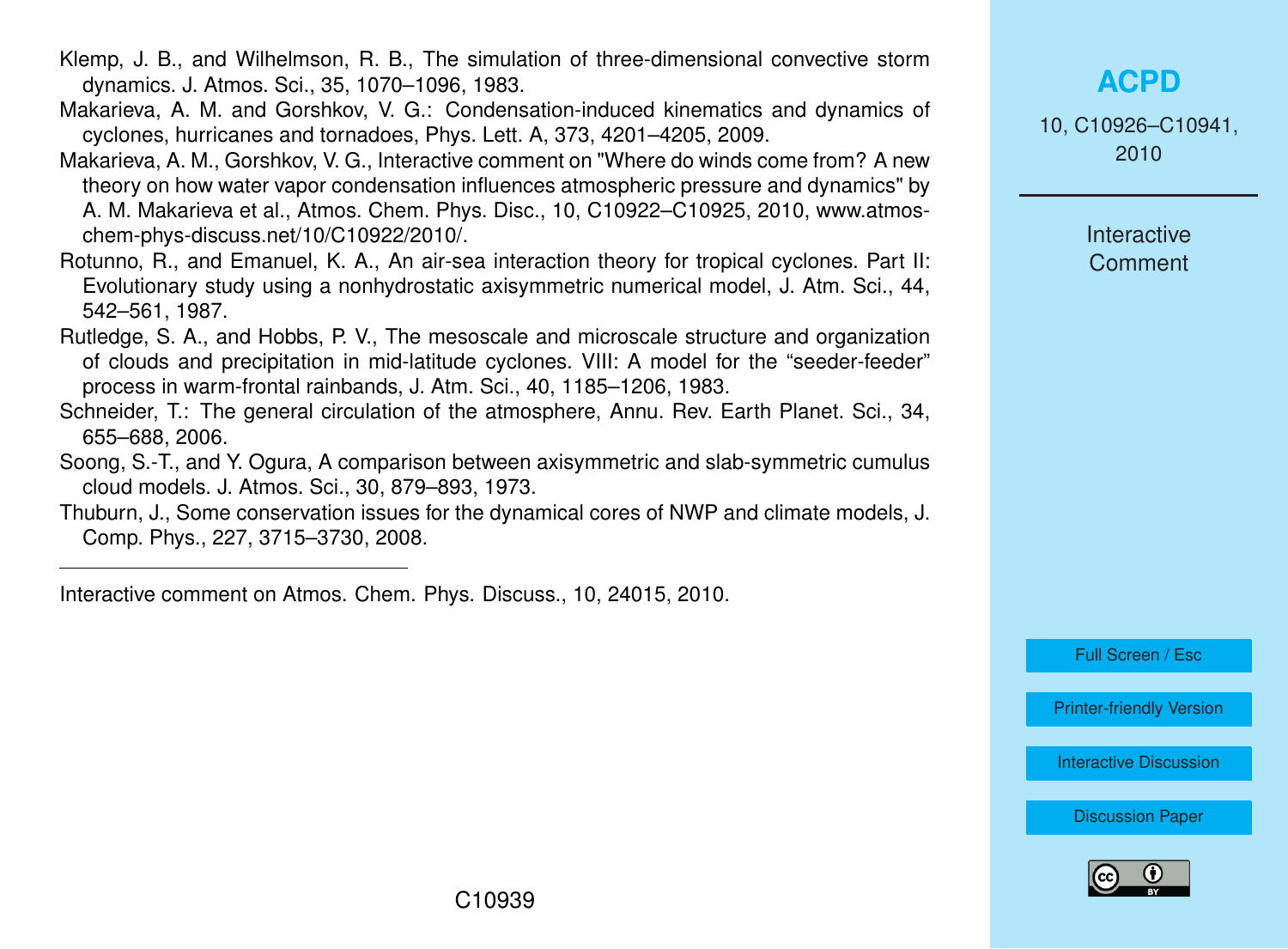- Klemp, J. B., and Wilhelmson, R. B., The simulation of three-dimensional convective storm dynamics. J. Atmos. Sci., 35, 1070–1096, 1983.
- Makarieva, A. M. and Gorshkov, V. G.: Condensation-induced kinematics and dynamics of cyclones, hurricanes and tornadoes, Phys. Lett. A, 373, 4201–4205, 2009.
- Makarieva, A. M., Gorshkov, V. G., Interactive comment on "Where do winds come from? A new theory on how water vapor condensation influences atmospheric pressure and dynamics" by A. M. Makarieva et al., Atmos. Chem. Phys. Disc., 10, C10922–C10925, 2010, www.atmoschem-phys-discuss.net/10/C10922/2010/.
- Rotunno, R., and Emanuel, K. A., An air-sea interaction theory for tropical cyclones. Part II: Evolutionary study using a nonhydrostatic axisymmetric numerical model, J. Atm. Sci., 44, 542–561, 1987.
- Rutledge, S. A., and Hobbs, P. V., The mesoscale and microscale structure and organization of clouds and precipitation in mid-latitude cyclones. VIII: A model for the "seeder-feeder" process in warm-frontal rainbands, J. Atm. Sci., 40, 1185–1206, 1983.
- Schneider, T.: The general circulation of the atmosphere, Annu. Rev. Earth Planet. Sci., 34, 655–688, 2006.
- Soong, S.-T., and Y. Ogura, A comparison between axisymmetric and slab-symmetric cumulus cloud models. J. Atmos. Sci., 30, 879–893, 1973.
- Thuburn, J., Some conservation issues for the dynamical cores of NWP and climate models, J. Comp. Phys., 227, 3715–3730, 2008.

Interactive comment on Atmos. Chem. Phys. Discuss., 10, 24015, 2010.

# **[ACPD](http://www.atmos-chem-phys-discuss.net)**

10, C10926–C10941, 2010

> **Interactive Comment**

Full Screen / Esc

[Printer-friendly Version](http://www.atmos-chem-phys-discuss.net/10/C10926/2010/acpd-10-C10926-2010-print.pdf)

[Interactive Discussion](http://www.atmos-chem-phys-discuss.net/10/24015/2010/acpd-10-24015-2010-discussion.html)

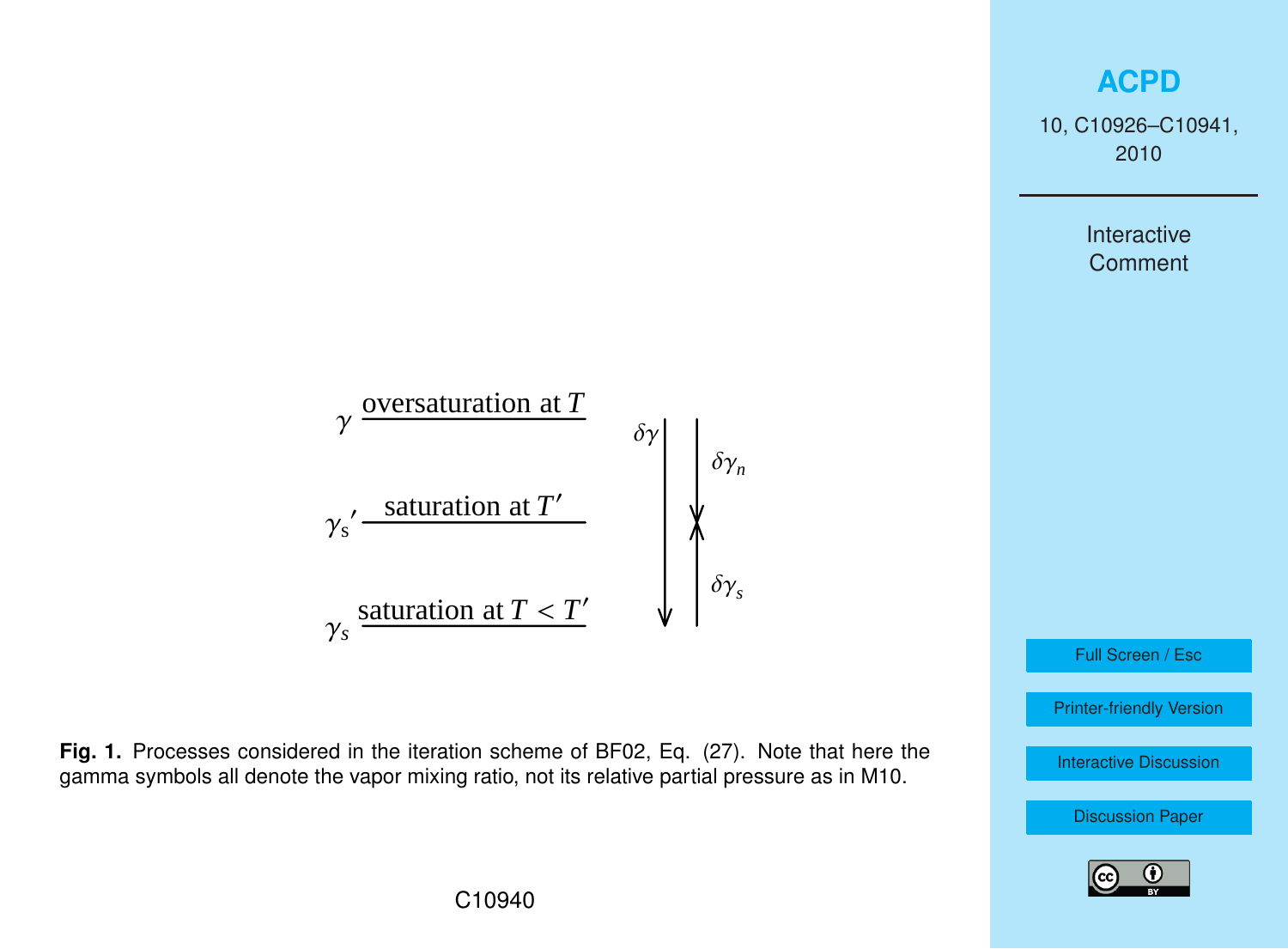# **[ACPD](http://www.atmos-chem-phys-discuss.net)**

10, C10926–C10941, 2010

> Interactive **Comment**

$$
\gamma \frac{\text{oversaturation at } T}{\gamma_s' \frac{\text{saturation at } T'}{\gamma_s \text{saturation at } T'}}
$$
\n
$$
\gamma_s \frac{\text{saturation at } T < T'}{\delta \gamma_s}
$$

**Fig. 1.** Processes considered in the iteration scheme of BF02, Eq. (27). Note that here the gamma symbols all denote the vapor mixing ratio, not its relative partial pressure as in M10.

Full Screen / Esc

[Printer-friendly Version](http://www.atmos-chem-phys-discuss.net/10/C10926/2010/acpd-10-C10926-2010-print.pdf)

[Interactive Discussion](http://www.atmos-chem-phys-discuss.net/10/24015/2010/acpd-10-24015-2010-discussion.html)